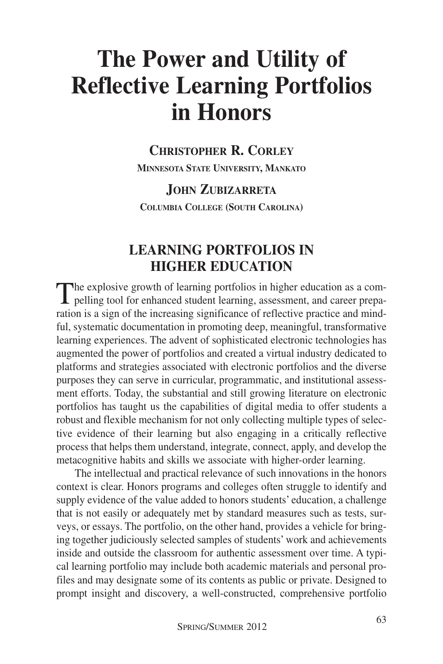# **The Power and Utility of Reflective Learning Portfolios in Honors**

# **CHRISTOPHER R. CORLEY**

**MINNESOTA STATE UNIVERSITY, MANKATO**

**JOHN ZUBIZARRETA COLUMBIA COLLEGE (SOUTH CAROLINA)**

## **LEARNING PORTFOLIOS IN HIGHER EDUCATION**

The explosive growth of learning portfolios in higher education as a com-**L** pelling tool for enhanced student learning, assessment, and career preparation is a sign of the increasing significance of reflective practice and mindful, systematic documentation in promoting deep, meaningful, transformative learning experiences. The advent of sophisticated electronic technologies has augmented the power of portfolios and created a virtual industry dedicated to platforms and strategies associated with electronic portfolios and the diverse purposes they can serve in curricular, programmatic, and institutional assessment efforts. Today, the substantial and still growing literature on electronic portfolios has taught us the capabilities of digital media to offer students a robust and flexible mechanism for not only collecting multiple types of selective evidence of their learning but also engaging in a critically reflective process that helps them understand, integrate, connect, apply, and develop the metacognitive habits and skills we associate with higher-order learning.

The intellectual and practical relevance of such innovations in the honors context is clear. Honors programs and colleges often struggle to identify and supply evidence of the value added to honors students' education, a challenge that is not easily or adequately met by standard measures such as tests, surveys, or essays. The portfolio, on the other hand, provides a vehicle for bringing together judiciously selected samples of students' work and achievements inside and outside the classroom for authentic assessment over time. A typical learning portfolio may include both academic materials and personal profiles and may designate some of its contents as public or private. Designed to prompt insight and discovery, a well-constructed, comprehensive portfolio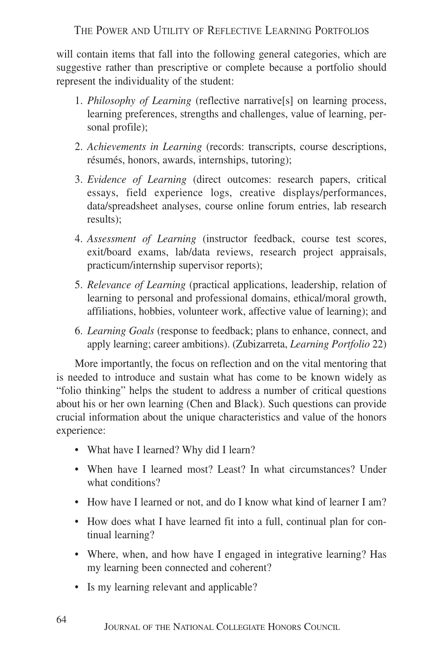will contain items that fall into the following general categories, which are suggestive rather than prescriptive or complete because a portfolio should represent the individuality of the student:

- 1. *Philosophy of Learning* (reflective narrative[s] on learning process, learning preferences, strengths and challenges, value of learning, personal profile);
- 2. *Achievements in Learning* (records: transcripts, course descriptions, résumés, honors, awards, internships, tutoring);
- 3. *Evidence of Learning* (direct outcomes: research papers, critical essays, field experience logs, creative displays/performances, data/spreadsheet analyses, course online forum entries, lab research results);
- 4. *Assessment of Learning* (instructor feedback, course test scores, exit/board exams, lab/data reviews, research project appraisals, practicum/internship supervisor reports);
- 5. *Relevance of Learning* (practical applications, leadership, relation of learning to personal and professional domains, ethical/moral growth, affiliations, hobbies, volunteer work, affective value of learning); and
- 6. *Learning Goals* (response to feedback; plans to enhance, connect, and apply learning; career ambitions). (Zubizarreta, *Learning Portfolio* 22)

More importantly, the focus on reflection and on the vital mentoring that is needed to introduce and sustain what has come to be known widely as "folio thinking" helps the student to address a number of critical questions about his or her own learning (Chen and Black). Such questions can provide crucial information about the unique characteristics and value of the honors experience:

- What have I learned? Why did I learn?
- When have I learned most? Least? In what circumstances? Under what conditions?
- How have I learned or not, and do I know what kind of learner I am?
- How does what I have learned fit into a full, continual plan for continual learning?
- Where, when, and how have I engaged in integrative learning? Has my learning been connected and coherent?
- Is my learning relevant and applicable?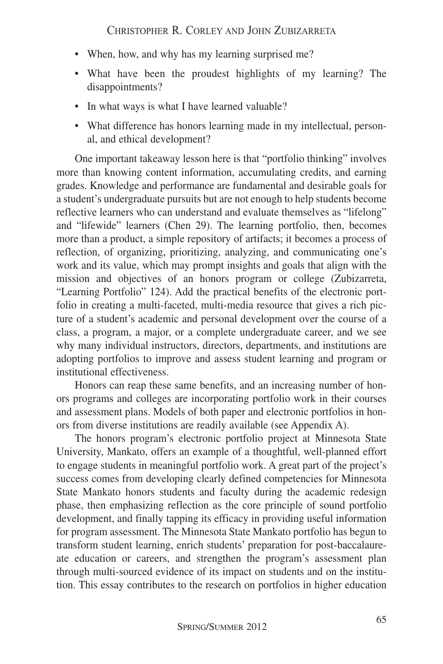- When, how, and why has my learning surprised me?
- What have been the proudest highlights of my learning? The disappointments?
- In what ways is what I have learned valuable?
- What difference has honors learning made in my intellectual, personal, and ethical development?

One important takeaway lesson here is that "portfolio thinking" involves more than knowing content information, accumulating credits, and earning grades. Knowledge and performance are fundamental and desirable goals for a student's undergraduate pursuits but are not enough to help students become reflective learners who can understand and evaluate themselves as "lifelong" and "lifewide" learners (Chen 29). The learning portfolio, then, becomes more than a product, a simple repository of artifacts; it becomes a process of reflection, of organizing, prioritizing, analyzing, and communicating one's work and its value, which may prompt insights and goals that align with the mission and objectives of an honors program or college (Zubizarreta, "Learning Portfolio" 124). Add the practical benefits of the electronic portfolio in creating a multi-faceted, multi-media resource that gives a rich picture of a student's academic and personal development over the course of a class, a program, a major, or a complete undergraduate career, and we see why many individual instructors, directors, departments, and institutions are adopting portfolios to improve and assess student learning and program or institutional effectiveness.

Honors can reap these same benefits, and an increasing number of honors programs and colleges are incorporating portfolio work in their courses and assessment plans. Models of both paper and electronic portfolios in honors from diverse institutions are readily available (see Appendix A).

The honors program's electronic portfolio project at Minnesota State University, Mankato, offers an example of a thoughtful, well-planned effort to engage students in meaningful portfolio work. A great part of the project's success comes from developing clearly defined competencies for Minnesota State Mankato honors students and faculty during the academic redesign phase, then emphasizing reflection as the core principle of sound portfolio development, and finally tapping its efficacy in providing useful information for program assessment. The Minnesota State Mankato portfolio has begun to transform student learning, enrich students' preparation for post-baccalaureate education or careers, and strengthen the program's assessment plan through multi-sourced evidence of its impact on students and on the institution. This essay contributes to the research on portfolios in higher education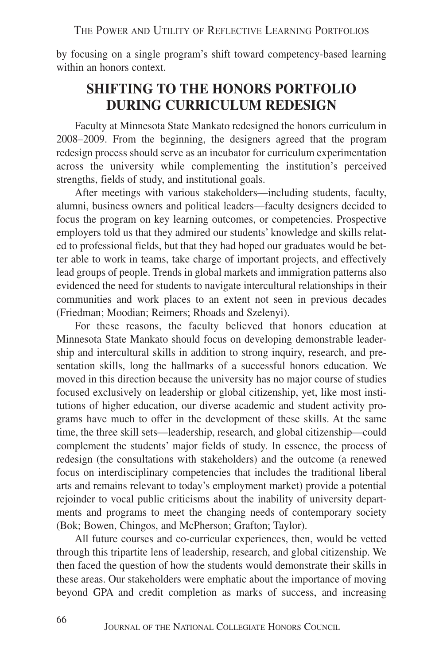by focusing on a single program's shift toward competency-based learning within an honors context.

#### **SHIFTING TO THE HONORS PORTFOLIO DURING CURRICULUM REDESIGN**

Faculty at Minnesota State Mankato redesigned the honors curriculum in 2008–2009. From the beginning, the designers agreed that the program redesign process should serve as an incubator for curriculum experimentation across the university while complementing the institution's perceived strengths, fields of study, and institutional goals.

After meetings with various stakeholders—including students, faculty, alumni, business owners and political leaders—faculty designers decided to focus the program on key learning outcomes, or competencies. Prospective employers told us that they admired our students' knowledge and skills related to professional fields, but that they had hoped our graduates would be better able to work in teams, take charge of important projects, and effectively lead groups of people. Trends in global markets and immigration patterns also evidenced the need for students to navigate intercultural relationships in their communities and work places to an extent not seen in previous decades (Friedman; Moodian; Reimers; Rhoads and Szelenyi).

For these reasons, the faculty believed that honors education at Minnesota State Mankato should focus on developing demonstrable leadership and intercultural skills in addition to strong inquiry, research, and presentation skills, long the hallmarks of a successful honors education. We moved in this direction because the university has no major course of studies focused exclusively on leadership or global citizenship, yet, like most institutions of higher education, our diverse academic and student activity programs have much to offer in the development of these skills. At the same time, the three skill sets—leadership, research, and global citizenship—could complement the students' major fields of study. In essence, the process of redesign (the consultations with stakeholders) and the outcome (a renewed focus on interdisciplinary competencies that includes the traditional liberal arts and remains relevant to today's employment market) provide a potential rejoinder to vocal public criticisms about the inability of university departments and programs to meet the changing needs of contemporary society (Bok; Bowen, Chingos, and McPherson; Grafton; Taylor).

All future courses and co-curricular experiences, then, would be vetted through this tripartite lens of leadership, research, and global citizenship. We then faced the question of how the students would demonstrate their skills in these areas. Our stakeholders were emphatic about the importance of moving beyond GPA and credit completion as marks of success, and increasing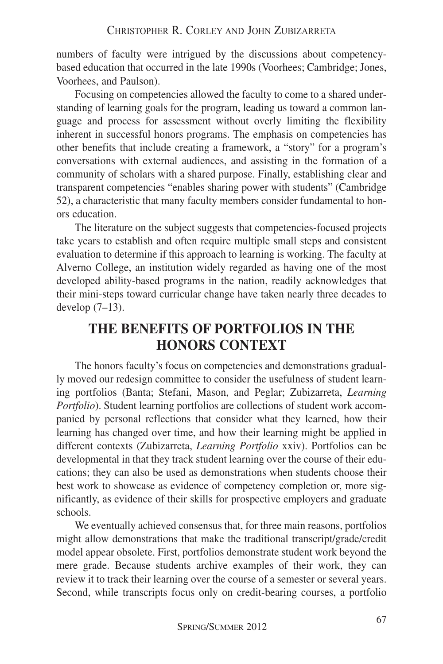numbers of faculty were intrigued by the discussions about competencybased education that occurred in the late 1990s (Voorhees; Cambridge; Jones, Voorhees, and Paulson).

Focusing on competencies allowed the faculty to come to a shared understanding of learning goals for the program, leading us toward a common language and process for assessment without overly limiting the flexibility inherent in successful honors programs. The emphasis on competencies has other benefits that include creating a framework, a "story" for a program's conversations with external audiences, and assisting in the formation of a community of scholars with a shared purpose. Finally, establishing clear and transparent competencies "enables sharing power with students" (Cambridge 52), a characteristic that many faculty members consider fundamental to honors education.

The literature on the subject suggests that competencies-focused projects take years to establish and often require multiple small steps and consistent evaluation to determine if this approach to learning is working. The faculty at Alverno College, an institution widely regarded as having one of the most developed ability-based programs in the nation, readily acknowledges that their mini-steps toward curricular change have taken nearly three decades to develop (7–13).

## **THE BENEFITS OF PORTFOLIOS IN THE HONORS CONTEXT**

The honors faculty's focus on competencies and demonstrations gradually moved our redesign committee to consider the usefulness of student learning portfolios (Banta; Stefani, Mason, and Peglar; Zubizarreta, *Learning Portfolio*). Student learning portfolios are collections of student work accompanied by personal reflections that consider what they learned, how their learning has changed over time, and how their learning might be applied in different contexts (Zubizarreta, *Learning Portfolio* xxiv). Portfolios can be developmental in that they track student learning over the course of their educations; they can also be used as demonstrations when students choose their best work to showcase as evidence of competency completion or, more significantly, as evidence of their skills for prospective employers and graduate schools.

We eventually achieved consensus that, for three main reasons, portfolios might allow demonstrations that make the traditional transcript/grade/credit model appear obsolete. First, portfolios demonstrate student work beyond the mere grade. Because students archive examples of their work, they can review it to track their learning over the course of a semester or several years. Second, while transcripts focus only on credit-bearing courses, a portfolio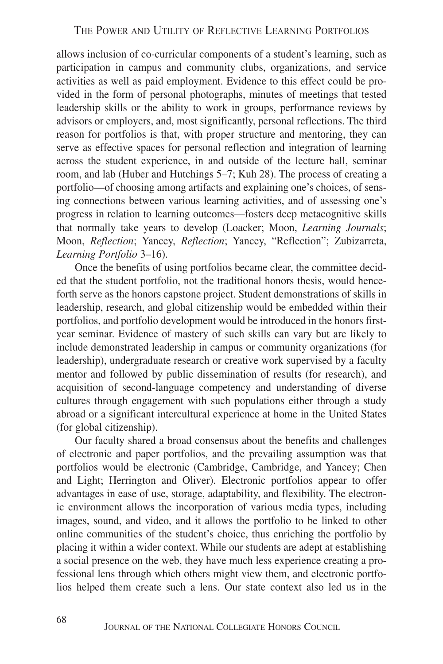allows inclusion of co-curricular components of a student's learning, such as participation in campus and community clubs, organizations, and service activities as well as paid employment. Evidence to this effect could be provided in the form of personal photographs, minutes of meetings that tested leadership skills or the ability to work in groups, performance reviews by advisors or employers, and, most significantly, personal reflections. The third reason for portfolios is that, with proper structure and mentoring, they can serve as effective spaces for personal reflection and integration of learning across the student experience, in and outside of the lecture hall, seminar room, and lab (Huber and Hutchings 5–7; Kuh 28). The process of creating a portfolio—of choosing among artifacts and explaining one's choices, of sensing connections between various learning activities, and of assessing one's progress in relation to learning outcomes—fosters deep metacognitive skills that normally take years to develop (Loacker; Moon, *Learning Journals*; Moon, *Reflection*; Yancey, *Reflection*; Yancey, "Reflection"; Zubizarreta, *Learning Portfolio* 3–16).

Once the benefits of using portfolios became clear, the committee decided that the student portfolio, not the traditional honors thesis, would henceforth serve as the honors capstone project. Student demonstrations of skills in leadership, research, and global citizenship would be embedded within their portfolios, and portfolio development would be introduced in the honors firstyear seminar. Evidence of mastery of such skills can vary but are likely to include demonstrated leadership in campus or community organizations (for leadership), undergraduate research or creative work supervised by a faculty mentor and followed by public dissemination of results (for research), and acquisition of second-language competency and understanding of diverse cultures through engagement with such populations either through a study abroad or a significant intercultural experience at home in the United States (for global citizenship).

Our faculty shared a broad consensus about the benefits and challenges of electronic and paper portfolios, and the prevailing assumption was that portfolios would be electronic (Cambridge, Cambridge, and Yancey; Chen and Light; Herrington and Oliver). Electronic portfolios appear to offer advantages in ease of use, storage, adaptability, and flexibility. The electronic environment allows the incorporation of various media types, including images, sound, and video, and it allows the portfolio to be linked to other online communities of the student's choice, thus enriching the portfolio by placing it within a wider context. While our students are adept at establishing a social presence on the web, they have much less experience creating a professional lens through which others might view them, and electronic portfolios helped them create such a lens. Our state context also led us in the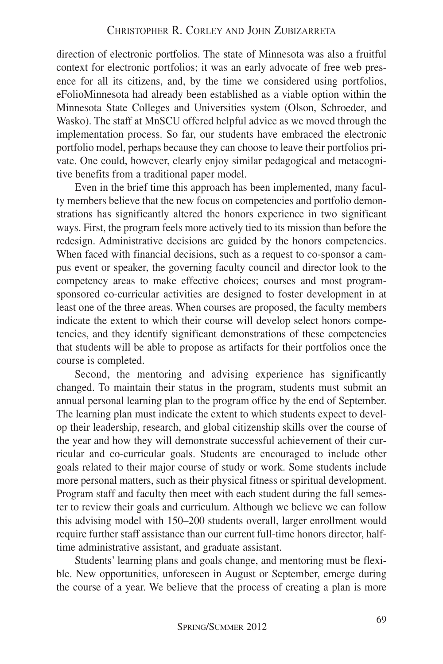direction of electronic portfolios. The state of Minnesota was also a fruitful context for electronic portfolios; it was an early advocate of free web presence for all its citizens, and, by the time we considered using portfolios, eFolioMinnesota had already been established as a viable option within the Minnesota State Colleges and Universities system (Olson, Schroeder, and Wasko). The staff at MnSCU offered helpful advice as we moved through the implementation process. So far, our students have embraced the electronic portfolio model, perhaps because they can choose to leave their portfolios private. One could, however, clearly enjoy similar pedagogical and metacognitive benefits from a traditional paper model.

Even in the brief time this approach has been implemented, many faculty members believe that the new focus on competencies and portfolio demonstrations has significantly altered the honors experience in two significant ways. First, the program feels more actively tied to its mission than before the redesign. Administrative decisions are guided by the honors competencies. When faced with financial decisions, such as a request to co-sponsor a campus event or speaker, the governing faculty council and director look to the competency areas to make effective choices; courses and most programsponsored co-curricular activities are designed to foster development in at least one of the three areas. When courses are proposed, the faculty members indicate the extent to which their course will develop select honors competencies, and they identify significant demonstrations of these competencies that students will be able to propose as artifacts for their portfolios once the course is completed.

Second, the mentoring and advising experience has significantly changed. To maintain their status in the program, students must submit an annual personal learning plan to the program office by the end of September. The learning plan must indicate the extent to which students expect to develop their leadership, research, and global citizenship skills over the course of the year and how they will demonstrate successful achievement of their curricular and co-curricular goals. Students are encouraged to include other goals related to their major course of study or work. Some students include more personal matters, such as their physical fitness or spiritual development. Program staff and faculty then meet with each student during the fall semester to review their goals and curriculum. Although we believe we can follow this advising model with 150–200 students overall, larger enrollment would require further staff assistance than our current full-time honors director, halftime administrative assistant, and graduate assistant.

Students' learning plans and goals change, and mentoring must be flexible. New opportunities, unforeseen in August or September, emerge during the course of a year. We believe that the process of creating a plan is more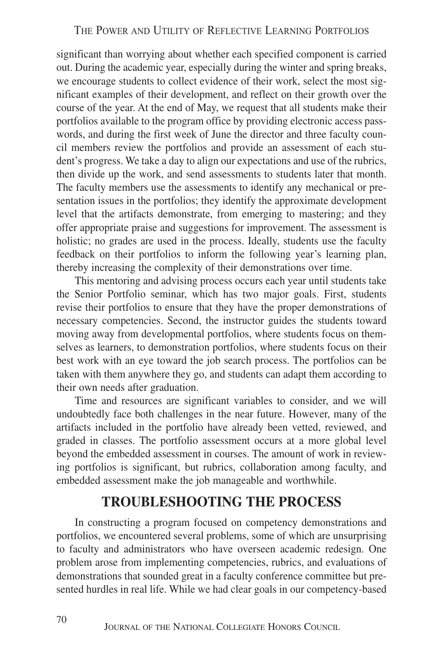significant than worrying about whether each specified component is carried out. During the academic year, especially during the winter and spring breaks, we encourage students to collect evidence of their work, select the most significant examples of their development, and reflect on their growth over the course of the year. At the end of May, we request that all students make their portfolios available to the program office by providing electronic access passwords, and during the first week of June the director and three faculty council members review the portfolios and provide an assessment of each student's progress. We take a day to align our expectations and use of the rubrics, then divide up the work, and send assessments to students later that month. The faculty members use the assessments to identify any mechanical or presentation issues in the portfolios; they identify the approximate development level that the artifacts demonstrate, from emerging to mastering; and they offer appropriate praise and suggestions for improvement. The assessment is holistic; no grades are used in the process. Ideally, students use the faculty feedback on their portfolios to inform the following year's learning plan, thereby increasing the complexity of their demonstrations over time.

This mentoring and advising process occurs each year until students take the Senior Portfolio seminar, which has two major goals. First, students revise their portfolios to ensure that they have the proper demonstrations of necessary competencies. Second, the instructor guides the students toward moving away from developmental portfolios, where students focus on themselves as learners, to demonstration portfolios, where students focus on their best work with an eye toward the job search process. The portfolios can be taken with them anywhere they go, and students can adapt them according to their own needs after graduation.

Time and resources are significant variables to consider, and we will undoubtedly face both challenges in the near future. However, many of the artifacts included in the portfolio have already been vetted, reviewed, and graded in classes. The portfolio assessment occurs at a more global level beyond the embedded assessment in courses. The amount of work in reviewing portfolios is significant, but rubrics, collaboration among faculty, and embedded assessment make the job manageable and worthwhile.

#### **TROUBLESHOOTING THE PROCESS**

In constructing a program focused on competency demonstrations and portfolios, we encountered several problems, some of which are unsurprising to faculty and administrators who have overseen academic redesign. One problem arose from implementing competencies, rubrics, and evaluations of demonstrations that sounded great in a faculty conference committee but presented hurdles in real life. While we had clear goals in our competency-based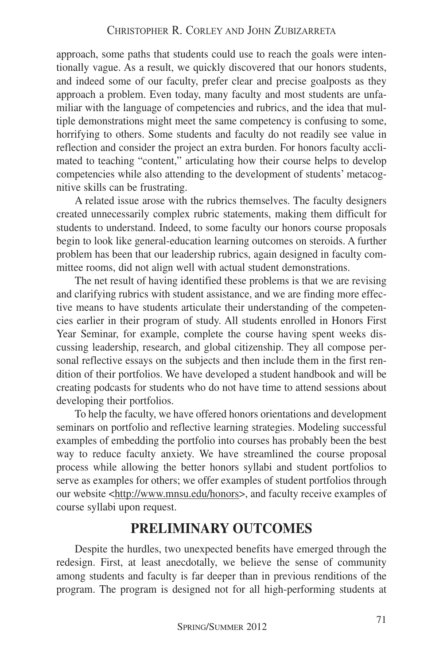approach, some paths that students could use to reach the goals were intentionally vague. As a result, we quickly discovered that our honors students, and indeed some of our faculty, prefer clear and precise goalposts as they approach a problem. Even today, many faculty and most students are unfamiliar with the language of competencies and rubrics, and the idea that multiple demonstrations might meet the same competency is confusing to some, horrifying to others. Some students and faculty do not readily see value in reflection and consider the project an extra burden. For honors faculty acclimated to teaching "content," articulating how their course helps to develop competencies while also attending to the development of students' metacognitive skills can be frustrating.

A related issue arose with the rubrics themselves. The faculty designers created unnecessarily complex rubric statements, making them difficult for students to understand. Indeed, to some faculty our honors course proposals begin to look like general-education learning outcomes on steroids. A further problem has been that our leadership rubrics, again designed in faculty committee rooms, did not align well with actual student demonstrations.

The net result of having identified these problems is that we are revising and clarifying rubrics with student assistance, and we are finding more effective means to have students articulate their understanding of the competencies earlier in their program of study. All students enrolled in Honors First Year Seminar, for example, complete the course having spent weeks discussing leadership, research, and global citizenship. They all compose personal reflective essays on the subjects and then include them in the first rendition of their portfolios. We have developed a student handbook and will be creating podcasts for students who do not have time to attend sessions about developing their portfolios.

To help the faculty, we have offered honors orientations and development seminars on portfolio and reflective learning strategies. Modeling successful examples of embedding the portfolio into courses has probably been the best way to reduce faculty anxiety. We have streamlined the course proposal process while allowing the better honors syllabi and student portfolios to serve as examples for others; we offer examples of student portfolios through our website <http://www.mnsu.edu/honors>, and faculty receive examples of course syllabi upon request.

#### **PRELIMINARY OUTCOMES**

Despite the hurdles, two unexpected benefits have emerged through the redesign. First, at least anecdotally, we believe the sense of community among students and faculty is far deeper than in previous renditions of the program. The program is designed not for all high-performing students at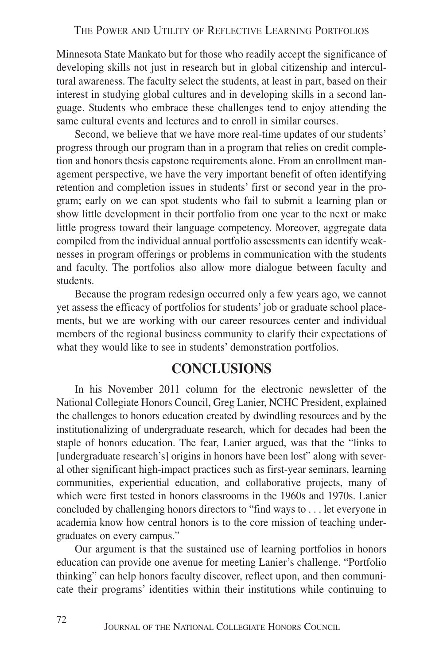Minnesota State Mankato but for those who readily accept the significance of developing skills not just in research but in global citizenship and intercultural awareness. The faculty select the students, at least in part, based on their interest in studying global cultures and in developing skills in a second language. Students who embrace these challenges tend to enjoy attending the same cultural events and lectures and to enroll in similar courses.

Second, we believe that we have more real-time updates of our students' progress through our program than in a program that relies on credit completion and honors thesis capstone requirements alone. From an enrollment management perspective, we have the very important benefit of often identifying retention and completion issues in students' first or second year in the program; early on we can spot students who fail to submit a learning plan or show little development in their portfolio from one year to the next or make little progress toward their language competency. Moreover, aggregate data compiled from the individual annual portfolio assessments can identify weaknesses in program offerings or problems in communication with the students and faculty. The portfolios also allow more dialogue between faculty and students.

Because the program redesign occurred only a few years ago, we cannot yet assess the efficacy of portfolios for students' job or graduate school placements, but we are working with our career resources center and individual members of the regional business community to clarify their expectations of what they would like to see in students' demonstration portfolios.

#### **CONCLUSIONS**

In his November 2011 column for the electronic newsletter of the National Collegiate Honors Council, Greg Lanier, NCHC President, explained the challenges to honors education created by dwindling resources and by the institutionalizing of undergraduate research, which for decades had been the staple of honors education. The fear, Lanier argued, was that the "links to [undergraduate research's] origins in honors have been lost" along with several other significant high-impact practices such as first-year seminars, learning communities, experiential education, and collaborative projects, many of which were first tested in honors classrooms in the 1960s and 1970s. Lanier concluded by challenging honors directors to "find ways to . . . let everyone in academia know how central honors is to the core mission of teaching undergraduates on every campus."

Our argument is that the sustained use of learning portfolios in honors education can provide one avenue for meeting Lanier's challenge. "Portfolio thinking" can help honors faculty discover, reflect upon, and then communicate their programs' identities within their institutions while continuing to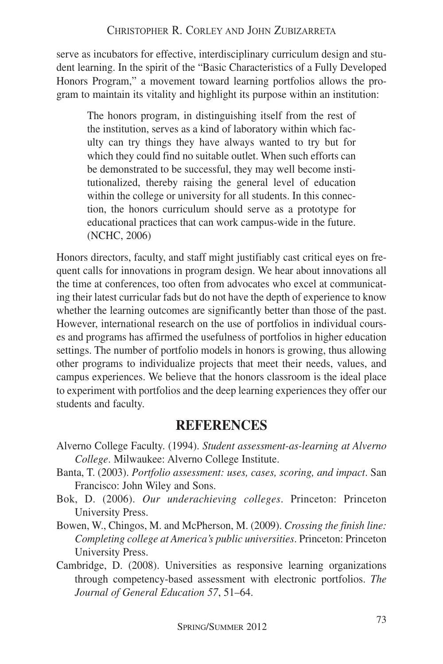serve as incubators for effective, interdisciplinary curriculum design and student learning. In the spirit of the "Basic Characteristics of a Fully Developed Honors Program," a movement toward learning portfolios allows the program to maintain its vitality and highlight its purpose within an institution:

The honors program, in distinguishing itself from the rest of the institution, serves as a kind of laboratory within which faculty can try things they have always wanted to try but for which they could find no suitable outlet. When such efforts can be demonstrated to be successful, they may well become institutionalized, thereby raising the general level of education within the college or university for all students. In this connection, the honors curriculum should serve as a prototype for educational practices that can work campus-wide in the future. (NCHC, 2006)

Honors directors, faculty, and staff might justifiably cast critical eyes on frequent calls for innovations in program design. We hear about innovations all the time at conferences, too often from advocates who excel at communicating their latest curricular fads but do not have the depth of experience to know whether the learning outcomes are significantly better than those of the past. However, international research on the use of portfolios in individual courses and programs has affirmed the usefulness of portfolios in higher education settings. The number of portfolio models in honors is growing, thus allowing other programs to individualize projects that meet their needs, values, and campus experiences. We believe that the honors classroom is the ideal place to experiment with portfolios and the deep learning experiences they offer our students and faculty.

#### **REFERENCES**

- Alverno College Faculty. (1994). *Student assessment-as-learning at Alverno College*. Milwaukee: Alverno College Institute.
- Banta, T. (2003). *Portfolio assessment: uses, cases, scoring, and impact*. San Francisco: John Wiley and Sons.
- Bok, D. (2006). *Our underachieving colleges*. Princeton: Princeton University Press.
- Bowen, W., Chingos, M. and McPherson, M. (2009). *Crossing the finish line: Completing college at America's public universities*. Princeton: Princeton University Press.
- Cambridge, D. (2008). Universities as responsive learning organizations through competency-based assessment with electronic portfolios. *The Journal of General Education 57*, 51–64.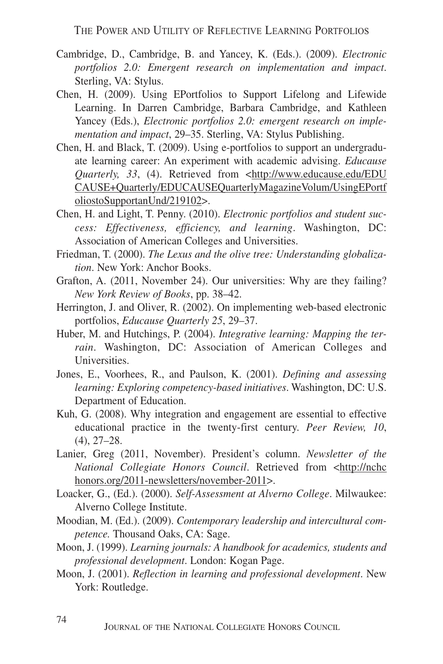- Cambridge, D., Cambridge, B. and Yancey, K. (Eds.). (2009). *Electronic portfolios 2.0: Emergent research on implementation and impact*. Sterling, VA: Stylus.
- Chen, H. (2009). Using EPortfolios to Support Lifelong and Lifewide Learning. In Darren Cambridge, Barbara Cambridge, and Kathleen Yancey (Eds.), *Electronic portfolios 2.0: emergent research on implementation and impact*, 29–35. Sterling, VA: Stylus Publishing.
- Chen, H. and Black, T. (2009). Using e-portfolios to support an undergraduate learning career: An experiment with academic advising. *Educause Quarterly, 33*, (4). Retrieved from <http://www.educause.edu/EDU CAUSE+Quarterly/EDUCAUSEQuarterlyMagazineVolum/UsingEPortf oliostoSupportanUnd/219102>.
- Chen, H. and Light, T. Penny. (2010). *Electronic portfolios and student success: Effectiveness, efficiency, and learning*. Washington, DC: Association of American Colleges and Universities.
- Friedman, T. (2000). *The Lexus and the olive tree: Understanding globalization*. New York: Anchor Books.
- Grafton, A. (2011, November 24). Our universities: Why are they failing? *New York Review of Books*, pp. 38–42.
- Herrington, J. and Oliver, R. (2002). On implementing web-based electronic portfolios, *Educause Quarterly 25*, 29–37.
- Huber, M. and Hutchings, P. (2004). *Integrative learning: Mapping the terrain*. Washington, DC: Association of American Colleges and Universities.
- Jones, E., Voorhees, R., and Paulson, K. (2001). *Defining and assessing learning: Exploring competency-based initiatives*. Washington, DC: U.S. Department of Education.
- Kuh, G. (2008). Why integration and engagement are essential to effective educational practice in the twenty-first century. *Peer Review, 10*, (4), 27–28.
- Lanier, Greg (2011, November). President's column. *Newsletter of the National Collegiate Honors Council*. Retrieved from <http://nchc honors.org/2011-newsletters/november-2011>.
- Loacker, G., (Ed.). (2000). *Self-Assessment at Alverno College*. Milwaukee: Alverno College Institute.
- Moodian, M. (Ed.). (2009). *Contemporary leadership and intercultural competence.* Thousand Oaks, CA: Sage.
- Moon, J. (1999). *Learning journals: A handbook for academics, students and professional development*. London: Kogan Page.
- Moon, J. (2001). *Reflection in learning and professional development*. New York: Routledge.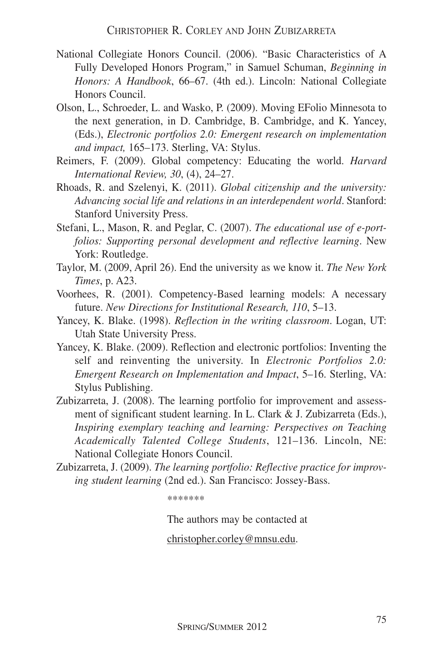- National Collegiate Honors Council. (2006). "Basic Characteristics of A Fully Developed Honors Program," in Samuel Schuman, *Beginning in Honors: A Handbook*, 66–67. (4th ed.). Lincoln: National Collegiate Honors Council.
- Olson, L., Schroeder, L. and Wasko, P. (2009). Moving EFolio Minnesota to the next generation, in D. Cambridge, B. Cambridge, and K. Yancey, (Eds.), *Electronic portfolios 2.0: Emergent research on implementation and impact,* 165–173. Sterling, VA: Stylus.
- Reimers, F. (2009). Global competency: Educating the world. *Harvard International Review, 30*, (4), 24–27.
- Rhoads, R. and Szelenyi, K. (2011). *Global citizenship and the university: Advancing social life and relations in an interdependent world*. Stanford: Stanford University Press.
- Stefani, L., Mason, R. and Peglar, C. (2007). *The educational use of e-portfolios: Supporting personal development and reflective learning*. New York: Routledge.
- Taylor, M. (2009, April 26). End the university as we know it. *The New York Times*, p. A23.
- Voorhees, R. (2001). Competency-Based learning models: A necessary future. *New Directions for Institutional Research, 110*, 5–13.
- Yancey, K. Blake. (1998). *Reflection in the writing classroom*. Logan, UT: Utah State University Press.
- Yancey, K. Blake. (2009). Reflection and electronic portfolios: Inventing the self and reinventing the university. In *Electronic Portfolios 2.0: Emergent Research on Implementation and Impact*, 5–16. Sterling, VA: Stylus Publishing.
- Zubizarreta, J. (2008). The learning portfolio for improvement and assessment of significant student learning. In L. Clark & J. Zubizarreta (Eds.), *Inspiring exemplary teaching and learning: Perspectives on Teaching Academically Talented College Students*, 121–136. Lincoln, NE: National Collegiate Honors Council.
- Zubizarreta, J. (2009). *The learning portfolio: Reflective practice for improving student learning* (2nd ed.). San Francisco: Jossey-Bass.

\*\*\*\*\*\*\*

The authors may be contacted at christopher.corley@mnsu.edu.